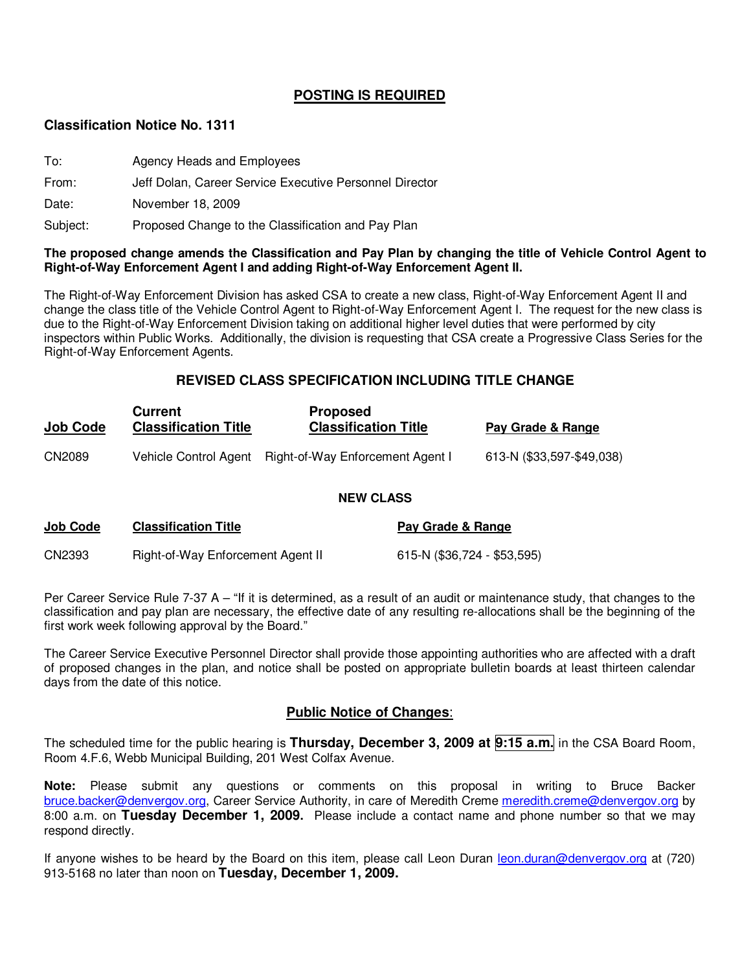#### **POSTING IS REQUIRED**

#### **Classification Notice No. 1311**

- To: Agency Heads and Employees
- From: Jeff Dolan, Career Service Executive Personnel Director

Date: November 18, 2009

Subject: Proposed Change to the Classification and Pay Plan

#### **The proposed change amends the Classification and Pay Plan by changing the title of Vehicle Control Agent to Right-of-Way Enforcement Agent I and adding Right-of-Way Enforcement Agent II.**

The Right-of-Way Enforcement Division has asked CSA to create a new class, Right-of-Way Enforcement Agent II and change the class title of the Vehicle Control Agent to Right-of-Way Enforcement Agent I. The request for the new class is due to the Right-of-Way Enforcement Division taking on additional higher level duties that were performed by city inspectors within Public Works. Additionally, the division is requesting that CSA create a Progressive Class Series for the Right-of-Way Enforcement Agents.

#### **REVISED CLASS SPECIFICATION INCLUDING TITLE CHANGE**

| <b>Job Code</b> | Current<br><b>Classification Title</b> | <b>Proposed</b><br><b>Classification Title</b> | Pay Grade & Range         |
|-----------------|----------------------------------------|------------------------------------------------|---------------------------|
| CN2089          | Vehicle Control Agent                  | Right-of-Way Enforcement Agent I               | 613-N (\$33,597-\$49,038) |

#### **NEW CLASS**

| <u>Job Code</u> | <b>Classification Title</b>       | Pay Grade & Range           |
|-----------------|-----------------------------------|-----------------------------|
| CN2393          | Right-of-Way Enforcement Agent II | 615-N (\$36,724 - \$53,595) |

Per Career Service Rule 7-37 A – "If it is determined, as a result of an audit or maintenance study, that changes to the classification and pay plan are necessary, the effective date of any resulting re-allocations shall be the beginning of the first work week following approval by the Board."

The Career Service Executive Personnel Director shall provide those appointing authorities who are affected with a draft of proposed changes in the plan, and notice shall be posted on appropriate bulletin boards at least thirteen calendar days from the date of this notice.

#### **Public Notice of Changes**:

The scheduled time for the public hearing is **Thursday, December 3, 2009 at 9:15 a.m.** in the CSA Board Room, Room 4.F.6, Webb Municipal Building, 201 West Colfax Avenue.

**Note:** Please submit any questions or comments on this proposal in writing to Bruce Backer bruce.backer@denvergov.org, Career Service Authority, in care of Meredith Creme meredith.creme@denvergov.org by 8:00 a.m. on **Tuesday December 1, 2009.** Please include a contact name and phone number so that we may respond directly.

If anyone wishes to be heard by the Board on this item, please call Leon Duran leon.duran@denvergov.org at (720) 913-5168 no later than noon on **Tuesday, December 1, 2009.**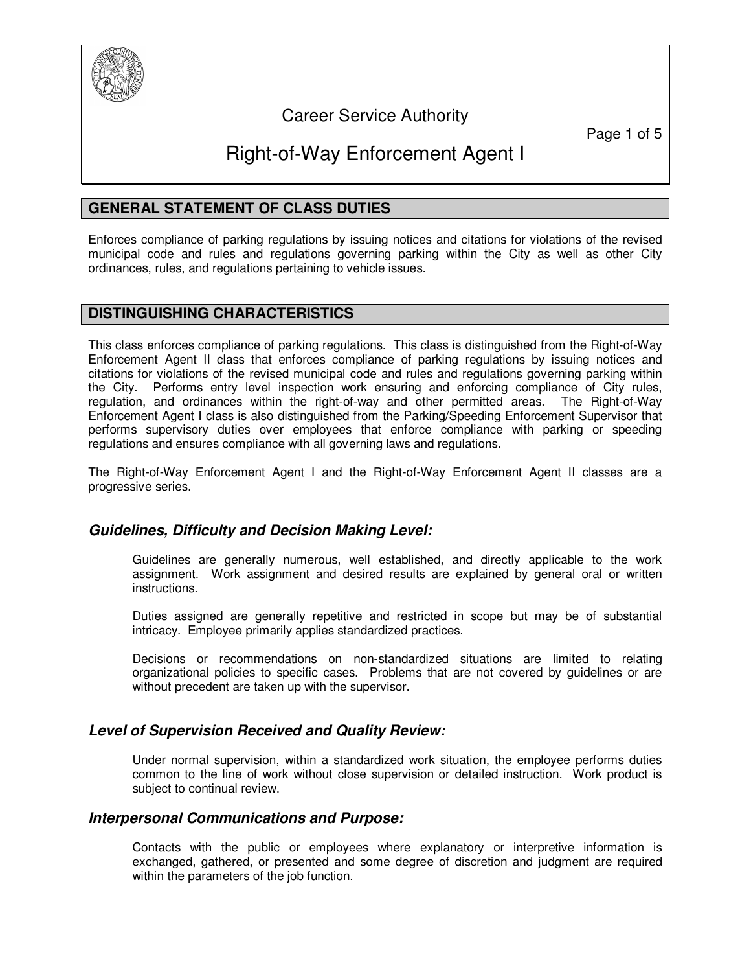

# Career Service Authority

Page 1 of 5

# Right-of-Way Enforcement Agent I

### **GENERAL STATEMENT OF CLASS DUTIES**

Enforces compliance of parking regulations by issuing notices and citations for violations of the revised municipal code and rules and regulations governing parking within the City as well as other City ordinances, rules, and regulations pertaining to vehicle issues.

#### **DISTINGUISHING CHARACTERISTICS**

This class enforces compliance of parking regulations. This class is distinguished from the Right-of-Way Enforcement Agent II class that enforces compliance of parking regulations by issuing notices and citations for violations of the revised municipal code and rules and regulations governing parking within the City. Performs entry level inspection work ensuring and enforcing compliance of City rules, regulation, and ordinances within the right-of-way and other permitted areas. The Right-of-Way Enforcement Agent I class is also distinguished from the Parking/Speeding Enforcement Supervisor that performs supervisory duties over employees that enforce compliance with parking or speeding regulations and ensures compliance with all governing laws and regulations.

The Right-of-Way Enforcement Agent I and the Right-of-Way Enforcement Agent II classes are a progressive series.

#### **Guidelines, Difficulty and Decision Making Level:**

Guidelines are generally numerous, well established, and directly applicable to the work assignment. Work assignment and desired results are explained by general oral or written instructions.

Duties assigned are generally repetitive and restricted in scope but may be of substantial intricacy. Employee primarily applies standardized practices.

Decisions or recommendations on non-standardized situations are limited to relating organizational policies to specific cases. Problems that are not covered by guidelines or are without precedent are taken up with the supervisor.

#### **Level of Supervision Received and Quality Review:**

Under normal supervision, within a standardized work situation, the employee performs duties common to the line of work without close supervision or detailed instruction. Work product is subject to continual review.

#### **Interpersonal Communications and Purpose:**

Contacts with the public or employees where explanatory or interpretive information is exchanged, gathered, or presented and some degree of discretion and judgment are required within the parameters of the job function.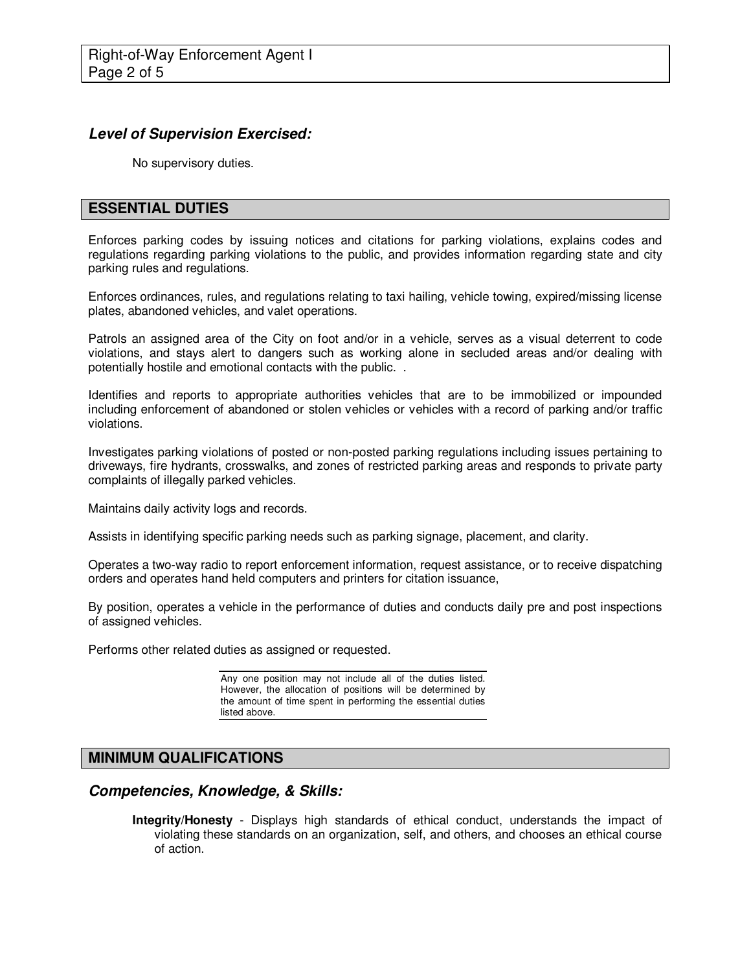# **Level of Supervision Exercised:**

No supervisory duties.

### **ESSENTIAL DUTIES**

Enforces parking codes by issuing notices and citations for parking violations, explains codes and regulations regarding parking violations to the public, and provides information regarding state and city parking rules and regulations.

Enforces ordinances, rules, and regulations relating to taxi hailing, vehicle towing, expired/missing license plates, abandoned vehicles, and valet operations.

Patrols an assigned area of the City on foot and/or in a vehicle, serves as a visual deterrent to code violations, and stays alert to dangers such as working alone in secluded areas and/or dealing with potentially hostile and emotional contacts with the public. .

Identifies and reports to appropriate authorities vehicles that are to be immobilized or impounded including enforcement of abandoned or stolen vehicles or vehicles with a record of parking and/or traffic violations.

Investigates parking violations of posted or non-posted parking regulations including issues pertaining to driveways, fire hydrants, crosswalks, and zones of restricted parking areas and responds to private party complaints of illegally parked vehicles.

Maintains daily activity logs and records.

Assists in identifying specific parking needs such as parking signage, placement, and clarity.

Operates a two-way radio to report enforcement information, request assistance, or to receive dispatching orders and operates hand held computers and printers for citation issuance,

By position, operates a vehicle in the performance of duties and conducts daily pre and post inspections of assigned vehicles.

Performs other related duties as assigned or requested.

Any one position may not include all of the duties listed. However, the allocation of positions will be determined by the amount of time spent in performing the essential duties listed above.

# **MINIMUM QUALIFICATIONS**

#### **Competencies, Knowledge, & Skills:**

**Integrity/Honesty** - Displays high standards of ethical conduct, understands the impact of violating these standards on an organization, self, and others, and chooses an ethical course of action.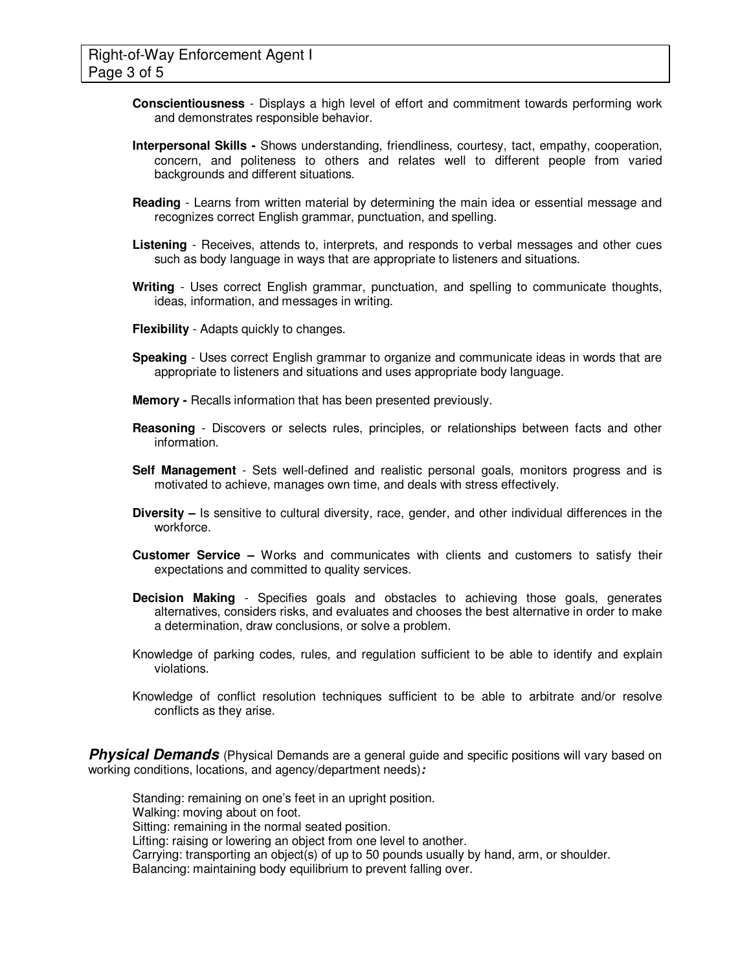- **Conscientiousness** Displays a high level of effort and commitment towards performing work and demonstrates responsible behavior.
- **Interpersonal Skills** Shows understanding, friendliness, courtesy, tact, empathy, cooperation, concern, and politeness to others and relates well to different people from varied backgrounds and different situations.
- **Reading** Learns from written material by determining the main idea or essential message and recognizes correct English grammar, punctuation, and spelling.
- **Listening** Receives, attends to, interprets, and responds to verbal messages and other cues such as body language in ways that are appropriate to listeners and situations.
- **Writing** Uses correct English grammar, punctuation, and spelling to communicate thoughts, ideas, information, and messages in writing.
- **Flexibility** Adapts quickly to changes.
- **Speaking** Uses correct English grammar to organize and communicate ideas in words that are appropriate to listeners and situations and uses appropriate body language.
- **Memory** Recalls information that has been presented previously.
- **Reasoning**  Discovers or selects rules, principles, or relationships between facts and other information.
- **Self Management** Sets well-defined and realistic personal goals, monitors progress and is motivated to achieve, manages own time, and deals with stress effectively.
- **Diversity –** Is sensitive to cultural diversity, race, gender, and other individual differences in the workforce.
- **Customer Service –** Works and communicates with clients and customers to satisfy their expectations and committed to quality services.
- **Decision Making** Specifies goals and obstacles to achieving those goals, generates alternatives, considers risks, and evaluates and chooses the best alternative in order to make a determination, draw conclusions, or solve a problem.
- Knowledge of parking codes, rules, and regulation sufficient to be able to identify and explain violations.
- Knowledge of conflict resolution techniques sufficient to be able to arbitrate and/or resolve conflicts as they arise.

**Physical Demands** (Physical Demands are a general guide and specific positions will vary based on working conditions, locations, and agency/department needs)**:** 

Standing: remaining on one's feet in an upright position. Walking: moving about on foot. Sitting: remaining in the normal seated position. Lifting: raising or lowering an object from one level to another. Carrying: transporting an object(s) of up to 50 pounds usually by hand, arm, or shoulder. Balancing: maintaining body equilibrium to prevent falling over.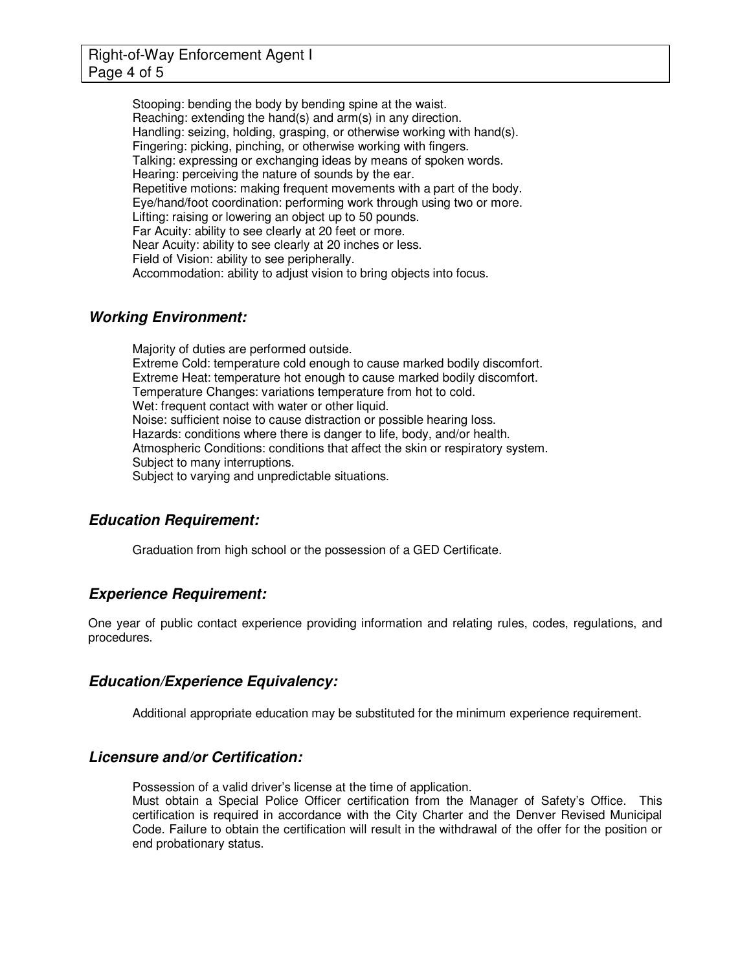### Right-of-Way Enforcement Agent I Page 4 of 5

Stooping: bending the body by bending spine at the waist. Reaching: extending the hand(s) and arm(s) in any direction. Handling: seizing, holding, grasping, or otherwise working with hand(s). Fingering: picking, pinching, or otherwise working with fingers. Talking: expressing or exchanging ideas by means of spoken words. Hearing: perceiving the nature of sounds by the ear. Repetitive motions: making frequent movements with a part of the body. Eye/hand/foot coordination: performing work through using two or more. Lifting: raising or lowering an object up to 50 pounds. Far Acuity: ability to see clearly at 20 feet or more. Near Acuity: ability to see clearly at 20 inches or less. Field of Vision: ability to see peripherally. Accommodation: ability to adjust vision to bring objects into focus.

# **Working Environment:**

Majority of duties are performed outside. Extreme Cold: temperature cold enough to cause marked bodily discomfort. Extreme Heat: temperature hot enough to cause marked bodily discomfort. Temperature Changes: variations temperature from hot to cold. Wet: frequent contact with water or other liquid. Noise: sufficient noise to cause distraction or possible hearing loss. Hazards: conditions where there is danger to life, body, and/or health. Atmospheric Conditions: conditions that affect the skin or respiratory system. Subject to many interruptions. Subject to varying and unpredictable situations.

#### **Education Requirement:**

Graduation from high school or the possession of a GED Certificate.

#### **Experience Requirement:**

One year of public contact experience providing information and relating rules, codes, regulations, and procedures.

#### **Education/Experience Equivalency:**

Additional appropriate education may be substituted for the minimum experience requirement.

#### **Licensure and/or Certification:**

Possession of a valid driver's license at the time of application.

Must obtain a Special Police Officer certification from the Manager of Safety's Office. This certification is required in accordance with the City Charter and the Denver Revised Municipal Code. Failure to obtain the certification will result in the withdrawal of the offer for the position or end probationary status.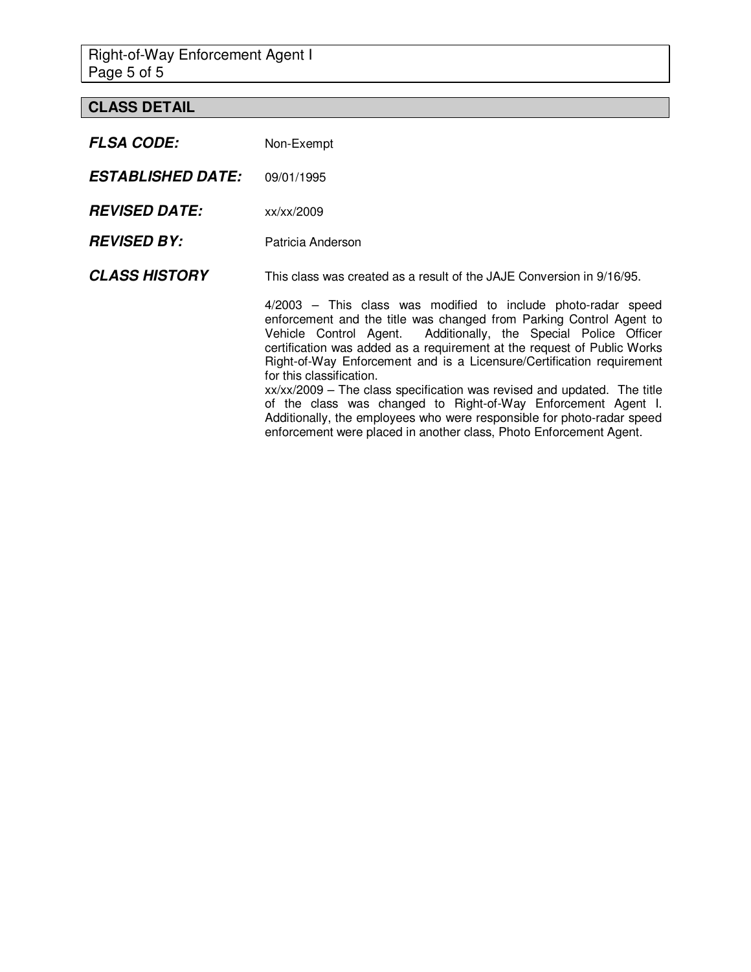Right-of-Way Enforcement Agent I Page 5 of 5

# **CLASS DETAIL**

| <b>FLSA CODE:</b>        | Non-Exempt                                                                                                                                                                                                                                                                                                                                                                                                                                                                                                                                                                                                                                                                          |
|--------------------------|-------------------------------------------------------------------------------------------------------------------------------------------------------------------------------------------------------------------------------------------------------------------------------------------------------------------------------------------------------------------------------------------------------------------------------------------------------------------------------------------------------------------------------------------------------------------------------------------------------------------------------------------------------------------------------------|
| <b>ESTABLISHED DATE:</b> | 09/01/1995                                                                                                                                                                                                                                                                                                                                                                                                                                                                                                                                                                                                                                                                          |
| <b>REVISED DATE:</b>     | xx/xx/2009                                                                                                                                                                                                                                                                                                                                                                                                                                                                                                                                                                                                                                                                          |
| <b>REVISED BY:</b>       | Patricia Anderson                                                                                                                                                                                                                                                                                                                                                                                                                                                                                                                                                                                                                                                                   |
| <b>CLASS HISTORY</b>     | This class was created as a result of the JAJE Conversion in 9/16/95.                                                                                                                                                                                                                                                                                                                                                                                                                                                                                                                                                                                                               |
|                          | 4/2003 – This class was modified to include photo-radar speed<br>enforcement and the title was changed from Parking Control Agent to<br>Vehicle Control Agent. Additionally, the Special Police Officer<br>certification was added as a requirement at the request of Public Works<br>Right-of-Way Enforcement and is a Licensure/Certification requirement<br>for this classification.<br>xx/xx/2009 - The class specification was revised and updated. The title<br>of the class was changed to Right-of-Way Enforcement Agent I.<br>Additionally, the employees who were responsible for photo-radar speed<br>enforcement were placed in another class, Photo Enforcement Agent. |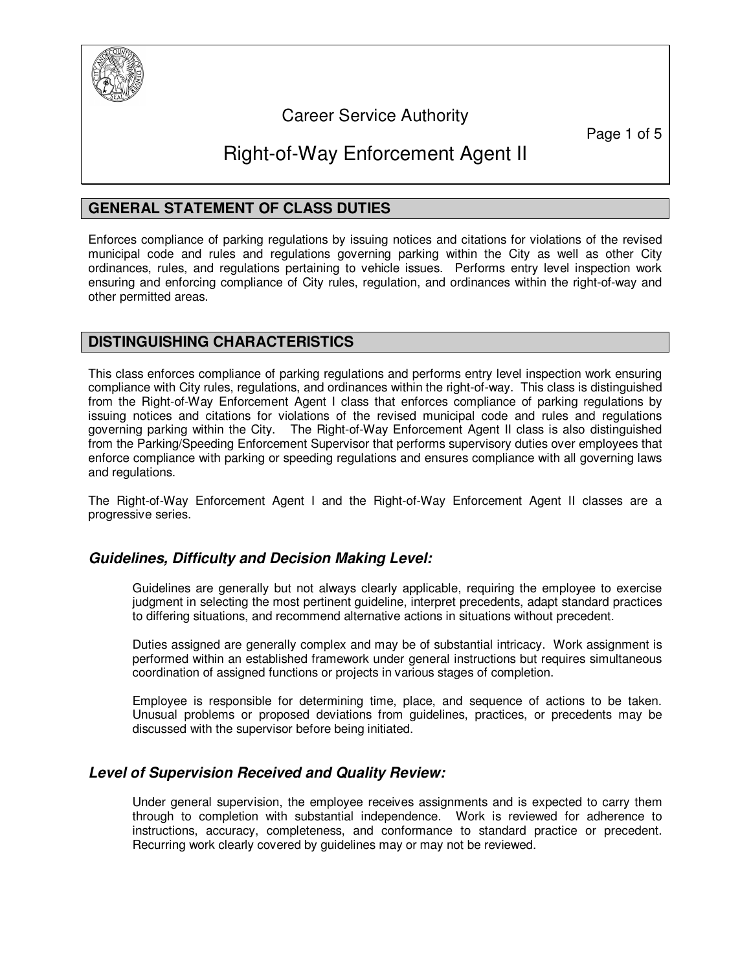

# Career Service Authority

Page 1 of 5

# Right-of-Way Enforcement Agent II

### **GENERAL STATEMENT OF CLASS DUTIES**

Enforces compliance of parking regulations by issuing notices and citations for violations of the revised municipal code and rules and regulations governing parking within the City as well as other City ordinances, rules, and regulations pertaining to vehicle issues. Performs entry level inspection work ensuring and enforcing compliance of City rules, regulation, and ordinances within the right-of-way and other permitted areas.

# **DISTINGUISHING CHARACTERISTICS**

This class enforces compliance of parking regulations and performs entry level inspection work ensuring compliance with City rules, regulations, and ordinances within the right-of-way. This class is distinguished from the Right-of-Way Enforcement Agent I class that enforces compliance of parking regulations by issuing notices and citations for violations of the revised municipal code and rules and regulations governing parking within the City. The Right-of-Way Enforcement Agent II class is also distinguished from the Parking/Speeding Enforcement Supervisor that performs supervisory duties over employees that enforce compliance with parking or speeding regulations and ensures compliance with all governing laws and regulations.

The Right-of-Way Enforcement Agent I and the Right-of-Way Enforcement Agent II classes are a progressive series.

#### **Guidelines, Difficulty and Decision Making Level:**

Guidelines are generally but not always clearly applicable, requiring the employee to exercise judgment in selecting the most pertinent guideline, interpret precedents, adapt standard practices to differing situations, and recommend alternative actions in situations without precedent.

Duties assigned are generally complex and may be of substantial intricacy. Work assignment is performed within an established framework under general instructions but requires simultaneous coordination of assigned functions or projects in various stages of completion.

Employee is responsible for determining time, place, and sequence of actions to be taken. Unusual problems or proposed deviations from guidelines, practices, or precedents may be discussed with the supervisor before being initiated.

#### **Level of Supervision Received and Quality Review:**

Under general supervision, the employee receives assignments and is expected to carry them through to completion with substantial independence. Work is reviewed for adherence to instructions, accuracy, completeness, and conformance to standard practice or precedent. Recurring work clearly covered by guidelines may or may not be reviewed.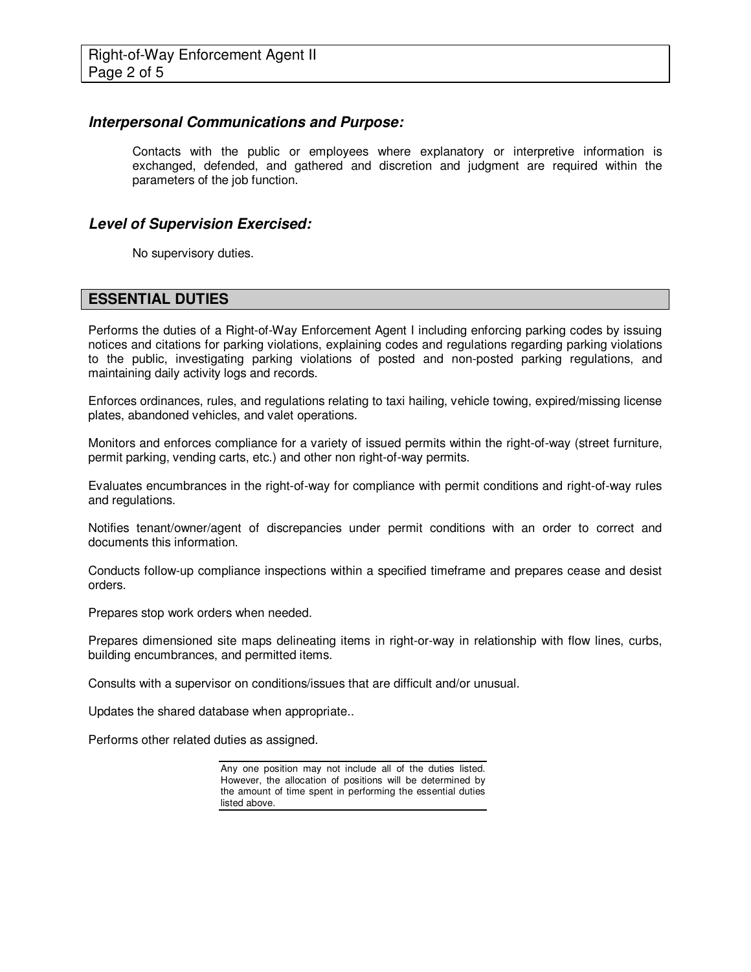#### **Interpersonal Communications and Purpose:**

Contacts with the public or employees where explanatory or interpretive information is exchanged, defended, and gathered and discretion and judgment are required within the parameters of the job function.

#### **Level of Supervision Exercised:**

No supervisory duties.

#### **ESSENTIAL DUTIES**

Performs the duties of a Right-of-Way Enforcement Agent I including enforcing parking codes by issuing notices and citations for parking violations, explaining codes and regulations regarding parking violations to the public, investigating parking violations of posted and non-posted parking regulations, and maintaining daily activity logs and records.

Enforces ordinances, rules, and regulations relating to taxi hailing, vehicle towing, expired/missing license plates, abandoned vehicles, and valet operations.

Monitors and enforces compliance for a variety of issued permits within the right-of-way (street furniture, permit parking, vending carts, etc.) and other non right-of-way permits.

Evaluates encumbrances in the right-of-way for compliance with permit conditions and right-of-way rules and regulations.

Notifies tenant/owner/agent of discrepancies under permit conditions with an order to correct and documents this information.

Conducts follow-up compliance inspections within a specified timeframe and prepares cease and desist orders.

Prepares stop work orders when needed.

Prepares dimensioned site maps delineating items in right-or-way in relationship with flow lines, curbs, building encumbrances, and permitted items.

Consults with a supervisor on conditions/issues that are difficult and/or unusual.

Updates the shared database when appropriate..

Performs other related duties as assigned.

Any one position may not include all of the duties listed. However, the allocation of positions will be determined by the amount of time spent in performing the essential duties listed above.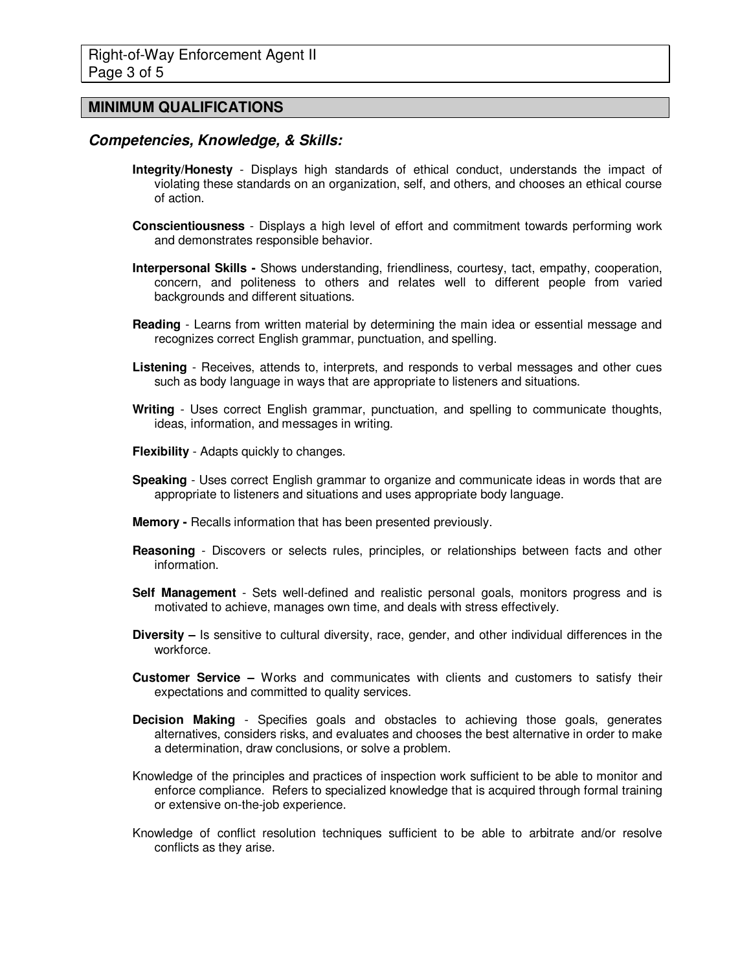#### **MINIMUM QUALIFICATIONS**

#### **Competencies, Knowledge, & Skills:**

- **Integrity/Honesty** Displays high standards of ethical conduct, understands the impact of violating these standards on an organization, self, and others, and chooses an ethical course of action.
- **Conscientiousness** Displays a high level of effort and commitment towards performing work and demonstrates responsible behavior.
- **Interpersonal Skills** Shows understanding, friendliness, courtesy, tact, empathy, cooperation, concern, and politeness to others and relates well to different people from varied backgrounds and different situations.
- **Reading** Learns from written material by determining the main idea or essential message and recognizes correct English grammar, punctuation, and spelling.
- **Listening** Receives, attends to, interprets, and responds to verbal messages and other cues such as body language in ways that are appropriate to listeners and situations.
- **Writing** Uses correct English grammar, punctuation, and spelling to communicate thoughts, ideas, information, and messages in writing.
- **Flexibility** Adapts quickly to changes.
- **Speaking** Uses correct English grammar to organize and communicate ideas in words that are appropriate to listeners and situations and uses appropriate body language.
- **Memory** Recalls information that has been presented previously.
- **Reasoning**  Discovers or selects rules, principles, or relationships between facts and other information.
- **Self Management** Sets well-defined and realistic personal goals, monitors progress and is motivated to achieve, manages own time, and deals with stress effectively.
- **Diversity –** Is sensitive to cultural diversity, race, gender, and other individual differences in the workforce.
- **Customer Service –** Works and communicates with clients and customers to satisfy their expectations and committed to quality services.
- **Decision Making** Specifies goals and obstacles to achieving those goals, generates alternatives, considers risks, and evaluates and chooses the best alternative in order to make a determination, draw conclusions, or solve a problem.
- Knowledge of the principles and practices of inspection work sufficient to be able to monitor and enforce compliance. Refers to specialized knowledge that is acquired through formal training or extensive on-the-job experience.
- Knowledge of conflict resolution techniques sufficient to be able to arbitrate and/or resolve conflicts as they arise.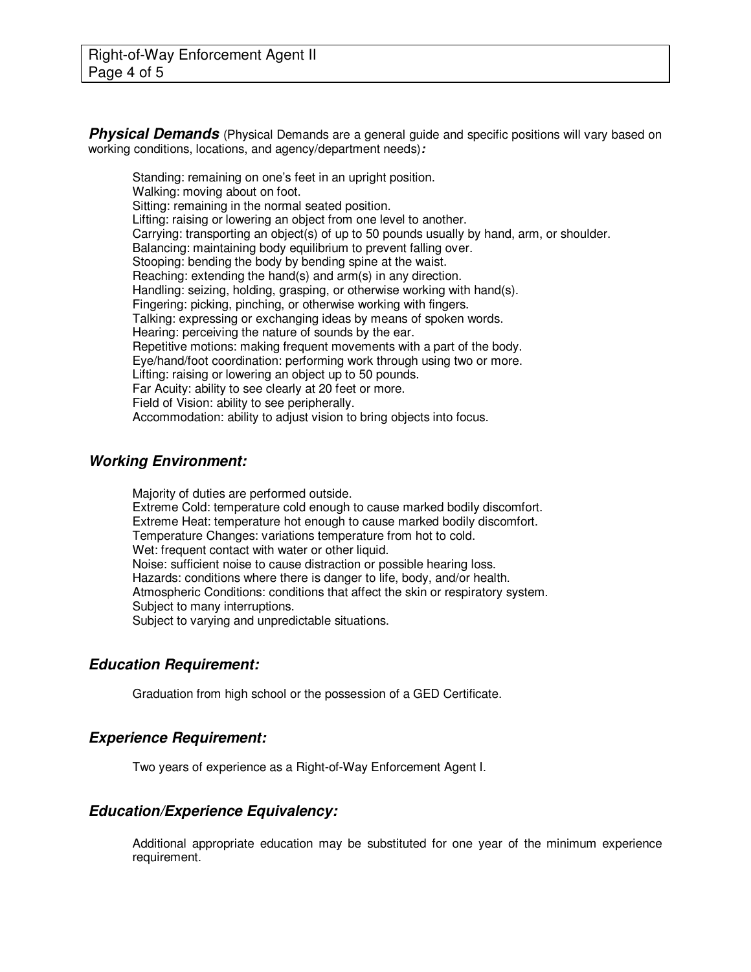**Physical Demands** (Physical Demands are a general guide and specific positions will vary based on working conditions, locations, and agency/department needs)**:** 

Standing: remaining on one's feet in an upright position. Walking: moving about on foot. Sitting: remaining in the normal seated position. Lifting: raising or lowering an object from one level to another. Carrying: transporting an object(s) of up to 50 pounds usually by hand, arm, or shoulder. Balancing: maintaining body equilibrium to prevent falling over. Stooping: bending the body by bending spine at the waist. Reaching: extending the hand(s) and arm(s) in any direction. Handling: seizing, holding, grasping, or otherwise working with hand(s). Fingering: picking, pinching, or otherwise working with fingers. Talking: expressing or exchanging ideas by means of spoken words. Hearing: perceiving the nature of sounds by the ear. Repetitive motions: making frequent movements with a part of the body. Eye/hand/foot coordination: performing work through using two or more. Lifting: raising or lowering an object up to 50 pounds. Far Acuity: ability to see clearly at 20 feet or more. Field of Vision: ability to see peripherally. Accommodation: ability to adjust vision to bring objects into focus.

#### **Working Environment:**

Majority of duties are performed outside. Extreme Cold: temperature cold enough to cause marked bodily discomfort. Extreme Heat: temperature hot enough to cause marked bodily discomfort. Temperature Changes: variations temperature from hot to cold. Wet: frequent contact with water or other liquid. Noise: sufficient noise to cause distraction or possible hearing loss. Hazards: conditions where there is danger to life, body, and/or health. Atmospheric Conditions: conditions that affect the skin or respiratory system. Subject to many interruptions. Subject to varying and unpredictable situations.

#### **Education Requirement:**

Graduation from high school or the possession of a GED Certificate.

#### **Experience Requirement:**

Two years of experience as a Right-of-Way Enforcement Agent I.

#### **Education/Experience Equivalency:**

Additional appropriate education may be substituted for one year of the minimum experience requirement.